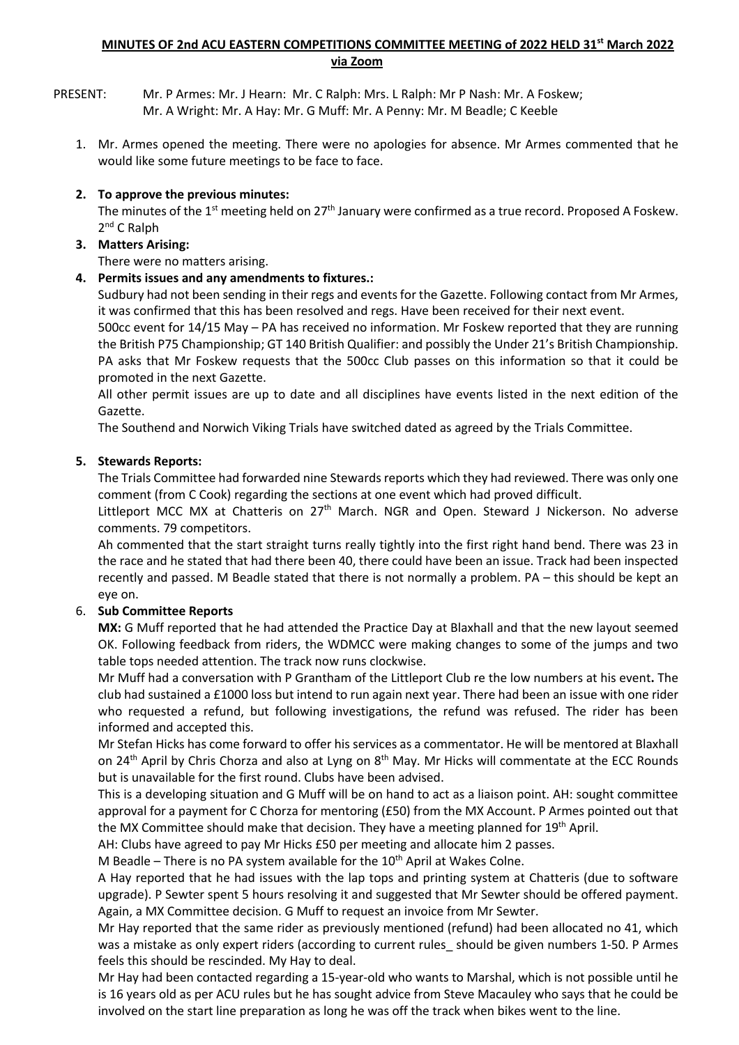#### **MINUTES OF 2nd ACU EASTERN COMPETITIONS COMMITTEE MEETING of 2022 HELD 31st March 2022 via Zoom**

PRESENT: Mr. P Armes: Mr. J Hearn: Mr. C Ralph: Mrs. L Ralph: Mr P Nash: Mr. A Foskew; Mr. A Wright: Mr. A Hay: Mr. G Muff: Mr. A Penny: Mr. M Beadle; C Keeble

1. Mr. Armes opened the meeting. There were no apologies for absence. Mr Armes commented that he would like some future meetings to be face to face.

## **2. To approve the previous minutes:**

The minutes of the 1<sup>st</sup> meeting held on 27<sup>th</sup> January were confirmed as a true record. Proposed A Foskew. 2nd C Ralph

## **3. Matters Arising:**

There were no matters arising.

# **4. Permits issues and any amendments to fixtures.:**

Sudbury had not been sending in their regs and events for the Gazette. Following contact from Mr Armes, it was confirmed that this has been resolved and regs. Have been received for their next event.

500cc event for 14/15 May – PA has received no information. Mr Foskew reported that they are running the British P75 Championship; GT 140 British Qualifier: and possibly the Under 21's British Championship. PA asks that Mr Foskew requests that the 500cc Club passes on this information so that it could be promoted in the next Gazette.

All other permit issues are up to date and all disciplines have events listed in the next edition of the Gazette.

The Southend and Norwich Viking Trials have switched dated as agreed by the Trials Committee.

# **5. Stewards Reports:**

The Trials Committee had forwarded nine Stewards reports which they had reviewed. There was only one comment (from C Cook) regarding the sections at one event which had proved difficult.

Littleport MCC MX at Chatteris on  $27<sup>th</sup>$  March. NGR and Open. Steward J Nickerson. No adverse comments. 79 competitors.

Ah commented that the start straight turns really tightly into the first right hand bend. There was 23 in the race and he stated that had there been 40, there could have been an issue. Track had been inspected recently and passed. M Beadle stated that there is not normally a problem. PA – this should be kept an eye on.

## 6. **Sub Committee Reports**

**MX:** G Muff reported that he had attended the Practice Day at Blaxhall and that the new layout seemed OK. Following feedback from riders, the WDMCC were making changes to some of the jumps and two table tops needed attention. The track now runs clockwise.

Mr Muff had a conversation with P Grantham of the Littleport Club re the low numbers at his event**.** The club had sustained a £1000 loss but intend to run again next year. There had been an issue with one rider who requested a refund, but following investigations, the refund was refused. The rider has been informed and accepted this.

Mr Stefan Hicks has come forward to offer his services as a commentator. He will be mentored at Blaxhall on 24<sup>th</sup> April by Chris Chorza and also at Lyng on 8<sup>th</sup> May. Mr Hicks will commentate at the ECC Rounds but is unavailable for the first round. Clubs have been advised.

This is a developing situation and G Muff will be on hand to act as a liaison point. AH: sought committee approval for a payment for C Chorza for mentoring (£50) from the MX Account. P Armes pointed out that the MX Committee should make that decision. They have a meeting planned for 19<sup>th</sup> April.

AH: Clubs have agreed to pay Mr Hicks £50 per meeting and allocate him 2 passes.

M Beadle – There is no PA system available for the  $10<sup>th</sup>$  April at Wakes Colne.

A Hay reported that he had issues with the lap tops and printing system at Chatteris (due to software upgrade). P Sewter spent 5 hours resolving it and suggested that Mr Sewter should be offered payment. Again, a MX Committee decision. G Muff to request an invoice from Mr Sewter.

Mr Hay reported that the same rider as previously mentioned (refund) had been allocated no 41, which was a mistake as only expert riders (according to current rules\_should be given numbers 1-50. P Armes feels this should be rescinded. My Hay to deal.

Mr Hay had been contacted regarding a 15-year-old who wants to Marshal, which is not possible until he is 16 years old as per ACU rules but he has sought advice from Steve Macauley who says that he could be involved on the start line preparation as long he was off the track when bikes went to the line.